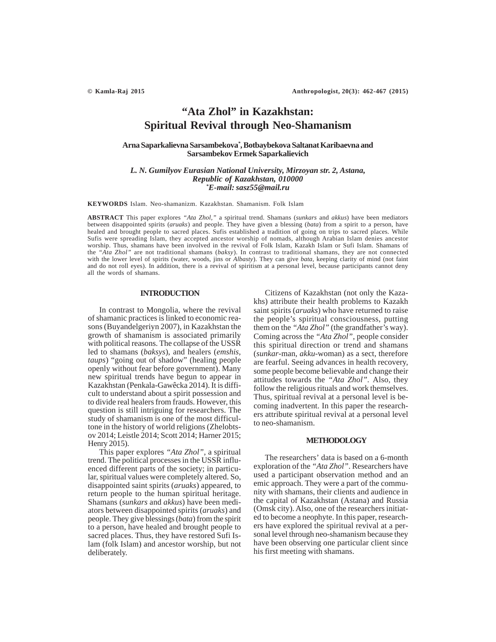# **"Ata Zhol" in Kazakhstan: Spiritual Revival through Neo-Shamanism**

**Arna Saparkalievna Sarsambekova***\** **, Botbaybekova Saltanat Karibaevna and Sarsambekov Ermek Saparkalievich**

## *L. N. Gumilyov Eurasian National University, Mirzoyan str. 2, Astana, Republic of Kazakhstan, 010000 \* E-mail: sasz55@mail.ru*

**KEYWORDS** Islam. Neo-shamanizm. Kazakhstan. Shamanism. Folk Islam

**ABSTRACT** This paper explores *"Ata Zhol,"* a spiritual trend. Shamans (*sunkars* and *akkus*) have been mediators between disappointed spirits (*aruaks*) and people. They have given a blessing (*bata*) from a spirit to a person, have healed and brought people to sacred places. Sufis established a tradition of going on trips to sacred places. While Sufis were spreading Islam, they accepted ancestor worship of nomads, although Arabian Islam denies ancestor worship. Thus, shamans have been involved in the revival of Folk Islam, Kazakh Islam or Sufi Islam. Shamans of the *"Ata Zhol"* are not traditional shamans (*baksy*). In contrast to traditional shamans, they are not connected with the lower level of spirits (water, woods, jins or *Albasty*). They can give *bata*, keeping clarity of mind (not faint and do not roll eyes). In addition, there is a revival of spiritism at a personal level, because participants cannot deny all the words of shamans.

## **INTRODUCTION**

In contrast to Mongolia, where the revival of shamanic practices is linked to economic reasons (Buyandelgeriyn 2007), in Kazakhstan the growth of shamanism is associated primarily with political reasons. The collapse of the USSR led to shamans (*baksys*), and healers (*emshis, taups*) "going out of shadow" (healing people openly without fear before government). Many new spiritual trends have begun to appear in Kazakhstan (Penkala-Gawêcka 2014). It is difficult to understand about a spirit possession and to divide real healers from frauds. However, this question is still intriguing for researchers. The study of shamanism is one of the most difficultone in the history of world religions (Zhelobtsov 2014; Leistle 2014; Scott 2014; Harner 2015; Henry 2015).

This paper explores *"Ata Zhol",* a spiritual trend. The political processes in the USSR influenced different parts of the society; in particular, spiritual values were completely altered. So, disappointed saint spirits (*aruaks*) appeared, to return people to the human spiritual heritage. Shamans (*sunkars* and *akkus*) have been mediators between disappointed spirits (*aruaks*) and people. They give blessings (*bata*) from the spirit to a person, have healed and brought people to sacred places. Thus, they have restored Sufi Islam (folk Islam) and ancestor worship, but not deliberately.

Citizens of Kazakhstan (not only the Kazakhs) attribute their health problems to Kazakh saint spirits (*aruaks*) who have returned to raise the people's spiritual consciousness, putting them on the *"Ata Zhol"* (the grandfather's way). Coming across the *"Ata Zhol"*, people consider this spiritual direction or trend and shamans (*sunkar-*man, *akku-*woman) as a sect, therefore are fearful. Seeing advances in health recovery, some people become believable and change their attitudes towards the *"Ata Zhol".* Also, they follow the religious rituals and work themselves. Thus, spiritual revival at a personal level is becoming inadvertent. In this paper the researchers attribute spiritual revival at a personal level to neo-shamanism.

#### **METHODOLOGY**

The researchers' data is based on a 6-month exploration of the *"Ata Zhol"*. Researchers have used a participant observation method and an emic approach. They were a part of the community with shamans, their clients and audience in the capital of Kazakhstan (Astana) and Russia (Omsk city). Also, one of the researchers initiated to become a neophyte. In this paper, researchers have explored the spiritual revival at a personal level through neo-shamanism because they have been observing one particular client since his first meeting with shamans.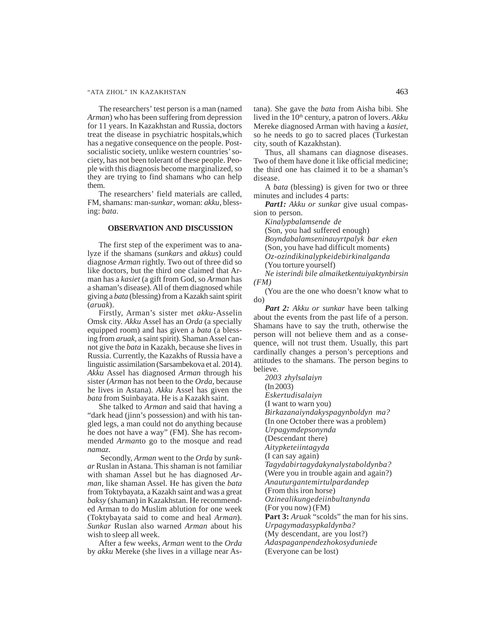## "ATA ZHOL" IN KAZAKHSTAN 463

The researchers' test person is a man (named *Arman*) who has been suffering from depression for 11 years. In Kazakhstan and Russia, doctors treat the disease in psychiatric hospitals,which has a negative consequence on the people. Postsocialistic society, unlike western countries' society, has not been tolerant of these people. People with this diagnosis become marginalized, so they are trying to find shamans who can help them.

The researchers' field materials are called, FM, shamans: man-*sunkar*, woman: *akku*, blessing: *bata*.

## **OBSERVATION AND DISCUSSION**

The first step of the experiment was to analyze if the shamans (*sunkars* and *akkus*) could diagnose *Arman* rightly. Two out of three did so like doctors, but the third one claimed that Arman has a *kasiet* (a gift from God, so *Arman* has a shaman's disease). All of them diagnosed while giving a *bata* (blessing) from a Kazakh saint spirit (*aruak*).

Firstly, Arman's sister met *akku-*Asselin Omsk city. *Akku* Assel has an *Orda* (a specially equipped room) and has given a *bata* (a blessing from *aruak*, a saint spirit). Shaman Assel cannot give the *bata* in Kazakh, because she lives in Russia. Currently, the Kazakhs of Russia have a linguistic assimilation (Sarsambekova et al. 2014). *Akku* Assel has diagnosed *Arman* through his sister (*Arman* has not been to the *Orda*, because he lives in Astana). *Akku* Assel has given the *bata* from Suinbayata. He is a Kazakh saint.

She talked to *Arman* and said that having a "dark head (jinn's possession) and with his tangled legs, a man could not do anything because he does not have a way" (FM). She has recommended *Arman*to go to the mosque and read *namaz*.

 Secondly, *Arman* went to the *Orda* by *sunkar* Ruslan in Astana. This shaman is not familiar with shaman Assel but he has diagnosed *Arman*, like shaman Assel. He has given the *bata* from Toktybayata, a Kazakh saint and was a great *baksy* (shaman) in Kazakhstan. He recommended Arman to do Muslim ablution for one week (Toktybayata said to come and heal *Arman*). *Sunkar* Ruslan also warned *Arman* about his wish to sleep all week.

After a few weeks, *Arman* went to the *Orda* by *akku* Mereke (she lives in a village near Astana). She gave the *bata* from Aisha bibi. She lived in the 10<sup>th</sup> century, a patron of lovers. Akku Mereke diagnosed Arman with having a *kasiet*, so he needs to go to sacred places (Turkestan city, south of Kazakhstan).

Thus, all shamans can diagnose diseases. Two of them have done it like official medicine; the third one has claimed it to be a shaman's disease.

A *bata* (blessing) is given for two or three minutes and includes 4 parts:

*Part1: Akku or sunkar* give usual compassion to person.

*Kinalypbalamsende de*

(Son, you had suffered enough)

*Boyndabalamseninauyrtpalyk bar eken*

(Son, you have had difficult moments)

*Oz-ozindikinalypkeidebirkinalganda*

(You torture yourself) *Ne isterindi bile almaiketkentuiyaktynbirsin (FM)*

(You are the one who doesn't know what to do)

*Part 2: Akku or sunkar* have been talking about the events from the past life of a person. Shamans have to say the truth, otherwise the person will not believe them and as a consequence, will not trust them. Usually, this part cardinally changes a person's perceptions and attitudes to the shamans. The person begins to believe.

*2003 zhylsalaiyn* (In 2003) *Eskertudisalaiyn* (I want to warn you) *Birkazanaiyndakyspagynboldyn ma?* (In one October there was a problem) *Urpagymdepsonynda* (Descendant there) *Aitypketeiintagyda* (I can say again) *Tagydabirtagydakynalystaboldynba?* (Were you in trouble again and again?) *Anauturgantemirtulpardandep* (From this iron horse) *Ozinealikungedeiinbultanynda* (For you now) (FM) Part 3: *Aruak* "scolds" the man for his sins. *Urpagymadasypkaldynba?* (My descendant, are you lost?) *Adaspaganpendezhokosyduniede*

(Everyone can be lost)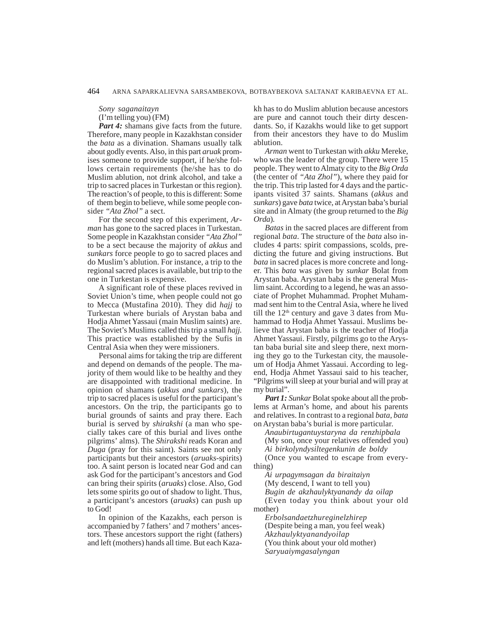*Sony saganaitayn*

(I'm telling you) (FM)

Part 4: shamans give facts from the future. Therefore, many people in Kazakhstan consider the *bata* as a divination. Shamans usually talk about godly events. Also, in this part *aruak* promises someone to provide support, if he/she follows certain requirements (he/she has to do Muslim ablution, not drink alcohol, and take a trip to sacred places in Turkestan or this region). The reaction's of people, to this is different: Some of them begin to believe, while some people consider *"Ata Zhol"* a sect.

For the second step of this experiment, *Arman* has gone to the sacred places in Turkestan. Some people in Kazakhstan consider *"Ata Zhol"* to be a sect because the majority of *akkus* and *sunkars* force people to go to sacred places and do Muslim's ablution. For instance, a trip to the regional sacred places is available, but trip to the one in Turkestan is expensive.

A significant role of these places revived in Soviet Union's time, when people could not go to Mecca (Mustafina 2010). They did *hajj* to Turkestan where burials of Arystan baba and Hodja Ahmet Yassaui (main Muslim saints) are. The Soviet's Muslims called this trip a small *hajj.* This practice was established by the Sufis in Central Asia when they were missioners.

Personal aims for taking the trip are different and depend on demands of the people. The majority of them would like to be healthy and they are disappointed with traditional medicine. In opinion of shamans (*akkus and sunkars*), the trip to sacred places is useful for the participant's ancestors. On the trip, the participants go to burial grounds of saints and pray there. Each burial is served by *shirakshi* (a man who specially takes care of this burial and lives onthe pilgrims' alms). The *Shirakshi* reads Koran and *Duga* (pray for this saint). Saints see not only participants but their ancestors (*aruaks*-spirits) too. A saint person is located near God and can ask God for the participant's ancestors and God can bring their spirits (*aruaks*) close. Also, God lets some spirits go out of shadow to light. Thus, a participant's ancestors (*aruaks*) can push up to God!

In opinion of the Kazakhs, each person is accompanied by 7 fathers' and 7 mothers' ancestors. These ancestors support the right (fathers) and left (mothers) hands all time. But each Kazakh has to do Muslim ablution because ancestors are pure and cannot touch their dirty descendants. So, if Kazakhs would like to get support from their ancestors they have to do Muslim ablution.

*Arman* went to Turkestan with *akku* Mereke, who was the leader of the group. There were 15 people. They went to Almaty city to the *Big Orda* (the center of *"Ata Zhol"*), where they paid for the trip. This trip lasted for 4 days and the participants visited 37 saints. Shamans (*akkus* and *sunkars*) gave *bata* twice, at Arystan baba's burial site and in Almaty (the group returned to the *Big Orda*).

*Batas* in the sacred places are different from regional *bata*. The structure of the *bata* also includes 4 parts: spirit compassions, scolds, predicting the future and giving instructions. But *bata* in sacred places is more concrete and longer. This *bata* was given by *sunkar* Bolat from Arystan baba. Arystan baba is the general Muslim saint. According to a legend, he was an associate of Prophet Muhammad. Prophet Muhammad sent him to the Central Asia, where he lived till the  $12<sup>th</sup>$  century and gave 3 dates from Muhammad to Hodja Ahmet Yassaui. Muslims believe that Arystan baba is the teacher of Hodja Ahmet Yassaui. Firstly, pilgrims go to the Arystan baba burial site and sleep there, next morning they go to the Turkestan city, the mausoleum of Hodja Ahmet Yassaui. According to legend, Hodja Ahmet Yassaui said to his teacher, "Pilgrims will sleep at your burial and will pray at my burial".

Part 1: Sunkar Bolat spoke about all the problems at Arman's home, and about his parents and relatives. In contrast to a regional *bata*, *bata* on Arystan baba's burial is more particular.

*Anaubirtugantuystaryna da renzhipbala* (My son, once your relatives offended you) *Ai birkolyndysiltegenkunin de boldy*

(Once you wanted to escape from everything)

*Ai urpagymsagan da biraitaiyn*

(My descend, I want to tell you)

*Bugin de akzhaulyktyanandy da oilap*

(Even today you think about your old mother)

*Erbolsandaetzhureginelzhirep*

(Despite being a man, you feel weak)

*Akzhaulyktyanandyoilap*

(You think about your old mother)

*Saryuaiymgasalyngan*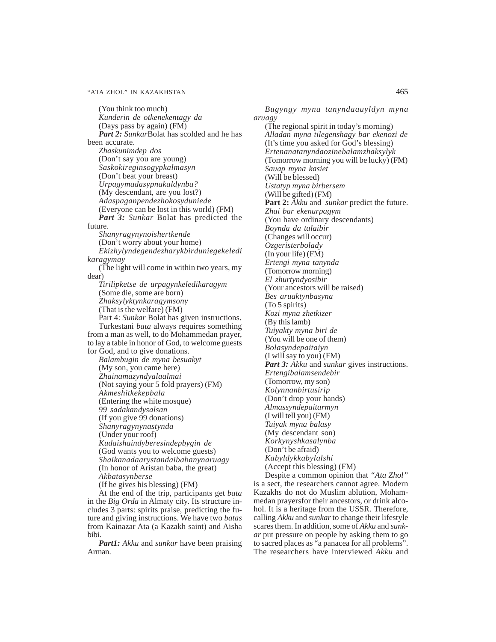(You think too much) *Kunderin de otkenekentagy da* (Days pass by again) (FM) *Part 2: Sunkar*Bolat has scolded and he has been accurate. *Zhaskunimdep dos* (Don't say you are young) *Saskokireginsogypkalmasyn* (Don't beat your breast) *Urpagymadasypnakaldynba?* (My descendant, are you lost?) *Adaspaganpendezhokosyduniede* (Everyone can be lost in this world) (FM) *Part 3: Sunkar Bolat has predicted the* future. *Shanyragynynoishertkende* (Don't worry about your home) *Ekizhylyndegendezharykbirduniegekeledi karagymay* (The light will come in within two years, my dear) *Tirilipketse de urpagynkeledikaragym* (Some die, some are born) *Zhaksylyktynkaragymsony* (That is the welfare) (FM) Part 4: *Sunkar* Bolat has given instructions. Turkestani *bata* always requires something from a man as well, to do Mohammedan prayer, to lay a table in honor of God, to welcome guests for God, and to give donations. *Balambugin de myna besuakyt* (My son, you came here) *Zhainamazyndyalaalmai* (Not saying your 5 fold prayers) (FM) *Akmeshitkekepbala* (Entering the white mosque) *99 sadakandysalsan* (If you give 99 donations) *Shanyragynynastynda* (Under your roof) *Kudaishaindyberesindepbygin de* (God wants you to welcome guests) *Shaikanadaarystandaibabanynaruagy* (In honor of Aristan baba, the great) *Akbatasynberse* (If he gives his blessing) (FM)

At the end of the trip, participants get *bata* in the *Big Orda* in Almaty city. Its structure includes 3 parts: spirits praise, predicting the future and giving instructions. We have two *batas* from Kainazar Ata (a Kazakh saint) and Aisha bibi.

*Part1: Akku* and *sunkar* have been praising Arman.

*Bugyngy myna tanyndaauyldyn myna aruagy*

(The regional spirit in today's morning) *Alladan myna tilegenshagy bar ekenozi de* (It's time you asked for God's blessing) *Ertenanatanyndaozinebalamzhaksylyk* (Tomorrow morning you will be lucky) (FM) *Sauap myna kasiet* (Will be blessed) *Ustatyp myna birbersem* (Will be gifted) (FM) **Part 2:** *Akku* and *sunkar* predict the future. *Zhai bar ekenurpagym* (You have ordinary descendants) *Boynda da talaibir* (Changes will occur) *Ozgeristerbolady* (In your life) (FM) *Ertengi myna tanynda* (Tomorrow morning) *El zhurtyndyosibir* (Your ancestors will be raised) *Bes aruaktynbasyna* (To 5 spirits) *Kozi myna zhetkizer* (By this lamb) *Tuiyakty myna biri de* (You will be one of them) *Bolasyndepaitaiyn* (I will say to you) (FM) *Part 3: Akku* and *sunkar* gives instructions. *Ertengibalamsendebir* (Tomorrow, my son) *Kolynnanbirtusirip* (Don't drop your hands) *Almassyndepaitarmyn* (I will tell you) (FM) *Tuiyak myna balasy* (My descendant son) *Korkynyshkasalynba* (Don't be afraid) *Kabyldykkabylalshi* (Accept this blessing) (FM)

Despite a common opinion that *"Ata Zhol"* is a sect, the researchers cannot agree. Modern Kazakhs do not do Muslim ablution, Mohammedan prayersfor their ancestors, or drink alcohol. It is a heritage from the USSR. Therefore, calling *Akku* and *sunkar* to change their lifestyle scares them. In addition, some of *Akku* and *sunkar* put pressure on people by asking them to go to sacred places as "a panacea for all problems". The researchers have interviewed *Akku* and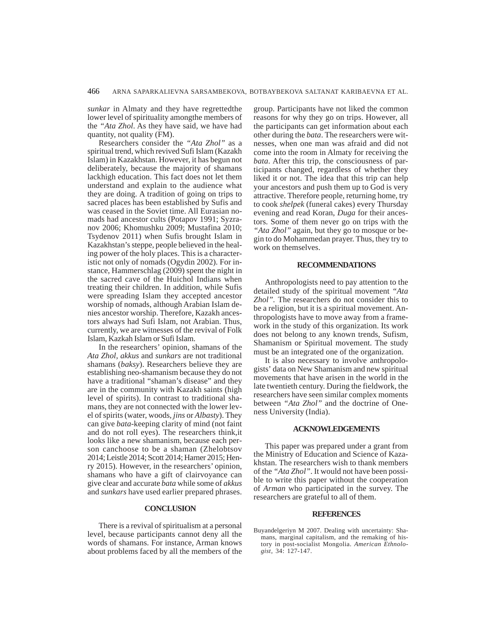*sunkar* in Almaty and they have regrettedthe lower level of spirituality amongthe members of the *"Ata Zhol*. As they have said, we have had quantity, not quality (FM).

Researchers consider the *"Ata Zhol"* as a spiritual trend, which revived Sufi Islam (Kazakh Islam) in Kazakhstan. However, it has begun not deliberately, because the majority of shamans lackhigh education. This fact does not let them understand and explain to the audience what they are doing. A tradition of going on trips to sacred places has been established by Sufis and was ceased in the Soviet time. All Eurasian nomads had ancestor cults (Potapov 1991; Syzranov 2006; Khomushku 2009; Mustafina 2010; Tsydenov 2011) when Sufis brought Islam in Kazakhstan's steppe, people believed in the healing power of the holy places. This is a characteristic not only of nomads (Ogydin 2002). For instance, Hammerschlag (2009) spent the night in the sacred cave of the Huichol Indians when treating their children. In addition, while Sufis were spreading Islam they accepted ancestor worship of nomads, although Arabian Islam denies ancestor worship. Therefore, Kazakh ancestors always had Sufi Islam, not Arabian. Thus, currently, we are witnesses of the revival of Folk Islam, Kazkah Islam or Sufi Islam.

In the researchers' opinion, shamans of the *Ata Zhol*, *akkus* and *sunkars* are not traditional shamans (*baksy*). Researchers believe they are establishing neo-shamanism because they do not have a traditional "shaman's disease" and they are in the community with Kazakh saints (high level of spirits). In contrast to traditional shamans, they are not connected with the lower level of spirits (water, woods, *jins* or *Albasty*). They can give *bata*-keeping clarity of mind (not faint and do not roll eyes). The researchers think,it looks like a new shamanism, because each person canchoose to be a shaman (Zhelobtsov 2014; Leistle 2014; Scott 2014; Harner 2015; Henry 2015). However, in the researchers' opinion, shamans who have a gift of clairvoyance can give clear and accurate *bata* while some of *akkus* and *sunkars* have used earlier prepared phrases.

## **CONCLUSION**

There is a revival of spiritualism at a personal level, because participants cannot deny all the words of shamans. For instance, Arman knows about problems faced by all the members of the group. Participants have not liked the common reasons for why they go on trips. However, all the participants can get information about each other during the *bata*. The researchers were witnesses, when one man was afraid and did not come into the room in Almaty for receiving the *bata*. After this trip, the consciousness of participants changed, regardless of whether they liked it or not. The idea that this trip can help your ancestors and push them up to God is very attractive. Therefore people, returning home, try to cook *shelpek* (funeral cakes) every Thursday evening and read Koran, *Duga* for their ancestors. Some of them never go on trips with the *"Ata Zhol"* again, but they go to mosque or begin to do Mohammedan prayer. Thus, they try to work on themselves.

#### **RECOMMENDATIONS**

Anthropologists need to pay attention to the detailed study of the spiritual movement *"Ata Zhol".* The researchers do not consider this to be a religion, but it is a spiritual movement. Anthropologists have to move away from a framework in the study of this organization. Its work does not belong to any known trends, Sufism, Shamanism or Spiritual movement. The study must be an integrated one of the organization.

It is also necessary to involve anthropologists' data on New Shamanism and new spiritual movements that have arisen in the world in the late twentieth century. During the fieldwork, the researchers have seen similar complex moments between *"Ata Zhol"* and the doctrine of Oneness University (India).

## **ACKNOWLEDGEMENTS**

This paper was prepared under a grant from the Ministry of Education and Science of Kazakhstan. The researchers wish to thank members of the *"Ata Zhol"*. It would not have been possible to write this paper without the cooperation of *Arman* who participated in the survey. The researchers are grateful to all of them.

### **REFERENCES**

Buyandelgeriyn M 2007. Dealing with uncertainty: Shamans, marginal capitalism, and the remaking of history in post-socialist Mongolia. *American Ethnologist*, 34: 127-147.